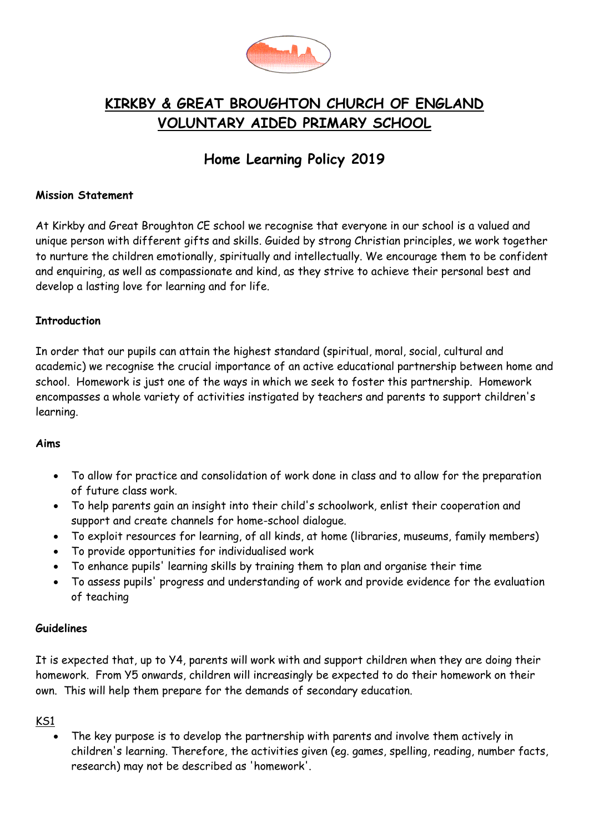

# **KIRKBY & GREAT BROUGHTON CHURCH OF ENGLAND VOLUNTARY AIDED PRIMARY SCHOOL**

# **Home Learning Policy 2019**

### **Mission Statement**

At Kirkby and Great Broughton CE school we recognise that everyone in our school is a valued and unique person with different gifts and skills. Guided by strong Christian principles, we work together to nurture the children emotionally, spiritually and intellectually. We encourage them to be confident and enquiring, as well as compassionate and kind, as they strive to achieve their personal best and develop a lasting love for learning and for life.

#### **Introduction**

In order that our pupils can attain the highest standard (spiritual, moral, social, cultural and academic) we recognise the crucial importance of an active educational partnership between home and school. Homework is just one of the ways in which we seek to foster this partnership. Homework encompasses a whole variety of activities instigated by teachers and parents to support children's learning.

#### **Aims**

- To allow for practice and consolidation of work done in class and to allow for the preparation of future class work.
- To help parents gain an insight into their child's schoolwork, enlist their cooperation and support and create channels for home-school dialogue.
- To exploit resources for learning, of all kinds, at home (libraries, museums, family members)
- To provide opportunities for individualised work
- To enhance pupils' learning skills by training them to plan and organise their time
- To assess pupils' progress and understanding of work and provide evidence for the evaluation of teaching

#### **Guidelines**

It is expected that, up to Y4, parents will work with and support children when they are doing their homework. From Y5 onwards, children will increasingly be expected to do their homework on their own. This will help them prepare for the demands of secondary education.

### KS1

• The key purpose is to develop the partnership with parents and involve them actively in children's learning. Therefore, the activities given (eg. games, spelling, reading, number facts, research) may not be described as 'homework'.